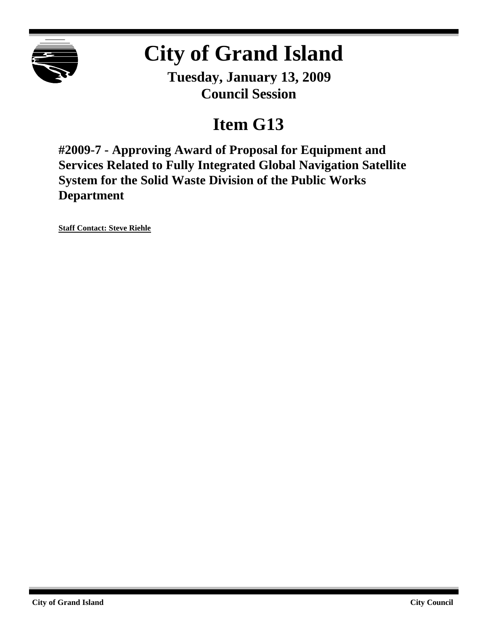

# **City of Grand Island**

**Tuesday, January 13, 2009 Council Session**

# **Item G13**

**#2009-7 - Approving Award of Proposal for Equipment and Services Related to Fully Integrated Global Navigation Satellite System for the Solid Waste Division of the Public Works Department**

**Staff Contact: Steve Riehle**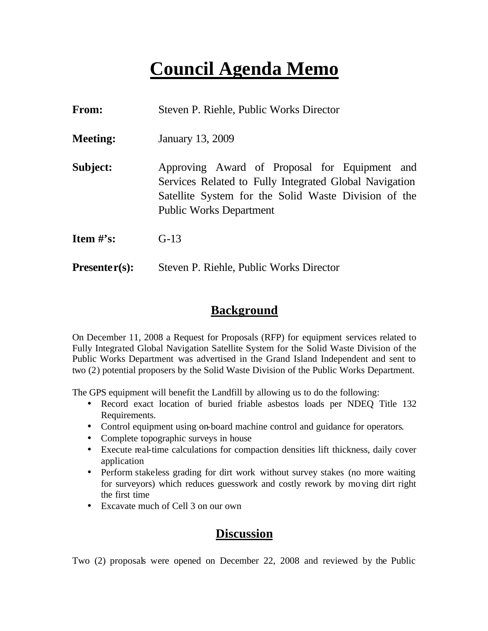# **Council Agenda Memo**

| <b>From:</b>                   | Steven P. Riehle, Public Works Director                                                                                                                                                           |
|--------------------------------|---------------------------------------------------------------------------------------------------------------------------------------------------------------------------------------------------|
| <b>Meeting:</b>                | January 13, 2009                                                                                                                                                                                  |
| Subject:                       | Approving Award of Proposal for Equipment and<br>Services Related to Fully Integrated Global Navigation<br>Satellite System for the Solid Waste Division of the<br><b>Public Works Department</b> |
| <b>Item <math>\#</math>'s:</b> | $G-13$                                                                                                                                                                                            |
| $Presenter(s):$                | Steven P. Riehle, Public Works Director                                                                                                                                                           |

### **Background**

On December 11, 2008 a Request for Proposals (RFP) for equipment services related to Fully Integrated Global Navigation Satellite System for the Solid Waste Division of the Public Works Department was advertised in the Grand Island Independent and sent to two (2) potential proposers by the Solid Waste Division of the Public Works Department.

The GPS equipment will benefit the Landfill by allowing us to do the following:

- Record exact location of buried friable asbestos loads per NDEQ Title 132 Requirements.
- Control equipment using on-board machine control and guidance for operators.
- Complete topographic surveys in house
- Execute real-time calculations for compaction densities lift thickness, daily cover application
- Perform stakeless grading for dirt work without survey stakes (no more waiting for surveyors) which reduces guesswork and costly rework by moving dirt right the first time
- Excavate much of Cell 3 on our own

# **Discussion**

Two (2) proposals were opened on December 22, 2008 and reviewed by the Public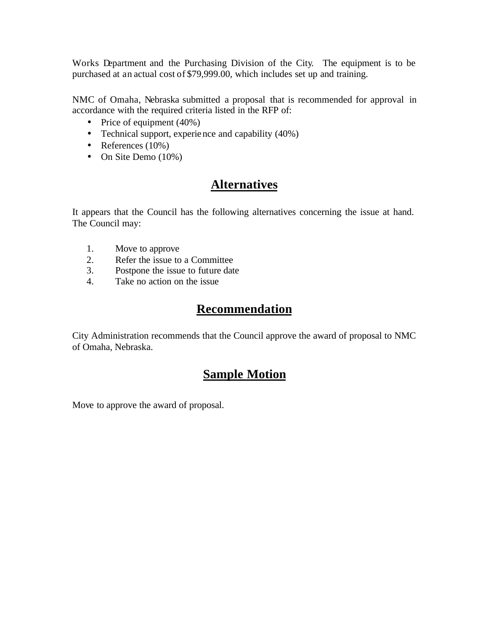Works Department and the Purchasing Division of the City. The equipment is to be purchased at an actual cost of \$79,999.00, which includes set up and training.

NMC of Omaha, Nebraska submitted a proposal that is recommended for approval in accordance with the required criteria listed in the RFP of:

- Price of equipment (40%)
- Technical support, experience and capability (40%)
- References  $(10\%)$
- On Site Demo (10%)

### **Alternatives**

It appears that the Council has the following alternatives concerning the issue at hand. The Council may:

- 1. Move to approve
- 2. Refer the issue to a Committee
- 3. Postpone the issue to future date
- 4. Take no action on the issue

#### **Recommendation**

City Administration recommends that the Council approve the award of proposal to NMC of Omaha, Nebraska.

# **Sample Motion**

Move to approve the award of proposal.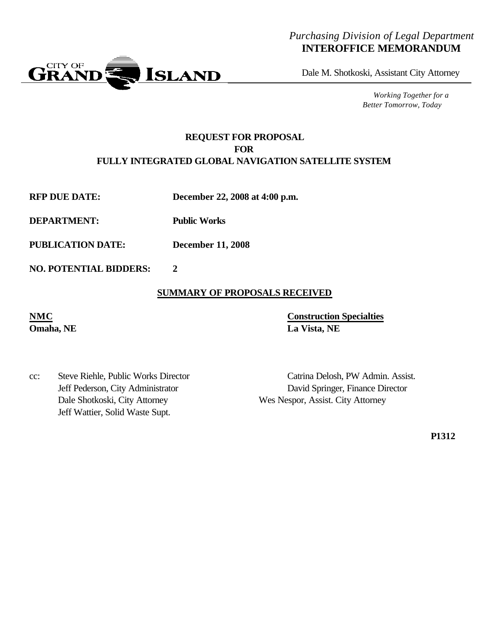#### *Purchasing Division of Legal Department* **INTEROFFICE MEMORANDUM**



Dale M. Shotkoski, Assistant City Attorney

*Working Together for a Better Tomorrow, Today*

#### **REQUEST FOR PROPOSAL FOR FULLY INTEGRATED GLOBAL NAVIGATION SATELLITE SYSTEM**

**RFP DUE DATE: December 22, 2008 at 4:00 p.m.**

**DEPARTMENT: Public Works**

**PUBLICATION DATE: December 11, 2008**

**NO. POTENTIAL BIDDERS: 2**

#### **SUMMARY OF PROPOSALS RECEIVED**

**NMC Construction Specialties Omaha, NE La Vista, NE**

cc: Steve Riehle, Public Works Director Catrina Delosh, PW Admin. Assist. Dale Shotkoski, City Attorney Wes Nespor, Assist. City Attorney Jeff Wattier, Solid Waste Supt.

Jeff Pederson, City Administrator David Springer, Finance Director

**P1312**